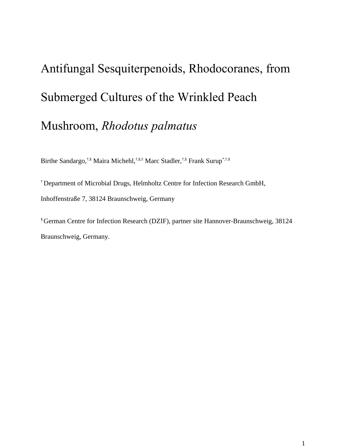# Antifungal Sesquiterpenoids, Rhodocoranes, from Submerged Cultures of the Wrinkled Peach Mushroom, *Rhodotus palmatus*

Birthe Sandargo,<sup>†,§</sup> Maira Michehl,<sup>†,§,‡</sup> Marc Stadler,<sup>†,§</sup> Frank Surup<sup>\*,†,§</sup>

† Department of Microbial Drugs, Helmholtz Centre for Infection Research GmbH, Inhoffenstraße 7, 38124 Braunschweig, Germany

§ German Centre for Infection Research (DZIF), partner site Hannover-Braunschweig, 38124 Braunschweig, Germany.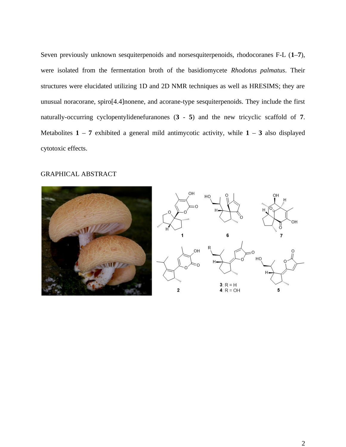Seven previously unknown sesquiterpenoids and norsesquiterpenoids, rhodocoranes F-L (**1**–**7**), were isolated from the fermentation broth of the basidiomycete *Rhodotus palmatus*. Their structures were elucidated utilizing 1D and 2D NMR techniques as well as HRESIMS; they are unusual noracorane, spiro[4.4]nonene, and acorane-type sesquiterpenoids. They include the first naturally-occurring cyclopentylidenefuranones (**3** - **5**) and the new tricyclic scaffold of **7**. Metabolites  $1 - 7$  exhibited a general mild antimycotic activity, while  $1 - 3$  also displayed cytotoxic effects.

# GRAPHICAL ABSTRACT

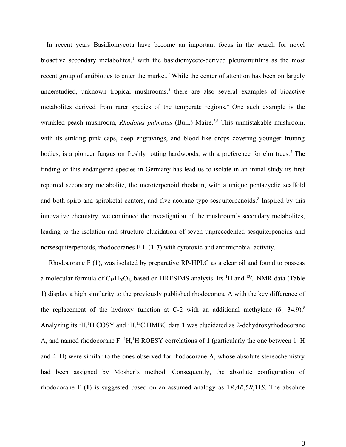In recent years Basidiomycota have become an important focus in the search for novel bioactive secondary metabolites,<sup>1</sup> with the basidiomycete-derived pleuromutilins as the most recent group of antibiotics to enter the market.<sup>2</sup> While the center of attention has been on largely understudied, unknown tropical mushrooms,<sup>3</sup> there are also several examples of bioactive metabolites derived from rarer species of the temperate regions.<sup>4</sup> One such example is the wrinkled peach mushroom, *Rhodotus palmatus* (Bull.) Maire.<sup>5,6</sup> This unmistakable mushroom, with its striking pink caps, deep engravings, and blood-like drops covering younger fruiting bodies, is a pioneer fungus on freshly rotting hardwoods, with a preference for elm trees.<sup>7</sup> The finding of this endangered species in Germany has lead us to isolate in an initial study its first reported secondary metabolite, the meroterpenoid rhodatin, with a unique pentacyclic scaffold and both spiro and spiroketal centers, and five acorane-type sesquiterpenoids.<sup>8</sup> Inspired by this innovative chemistry, we continued the investigation of the mushroom's secondary metabolites, leading to the isolation and structure elucidation of seven unprecedented sesquiterpenoids and norsesquiterpenoids, rhodocoranes F-L (**1**-**7**) with cytotoxic and antimicrobial activity.

Rhodocorane F (**1**), was isolated by preparative RP-HPLC as a clear oil and found to possess a molecular formula of  $C_{15}H_{20}O_4$ , based on HRESIMS analysis. Its <sup>1</sup>H and <sup>13</sup>C NMR data (Table 1) display a high similarity to the previously published rhodocorane A with the key difference of the replacement of the hydroxy function at C-2 with an additional methylene ( $\delta_c$  34.9).<sup>8</sup> Analyzing its <sup>1</sup>H,<sup>1</sup>H COSY and <sup>1</sup>H,<sup>13</sup>C HMBC data 1 was elucidated as 2-dehydroxyrhodocorane A, and named rhodocorane F. <sup>1</sup>H,<sup>1</sup>H ROESY correlations of 1 (particularly the one between 1–H and 4–H) were similar to the ones observed for rhodocorane A, whose absolute stereochemistry had been assigned by Mosher's method. Consequently, the absolute configuration of rhodocorane F (**1**) is suggested based on an assumed analogy as 1*R*,4*R*,5*R*,11*S*. The absolute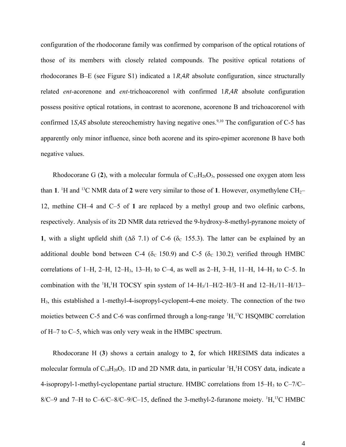configuration of the rhodocorane family was confirmed by comparison of the optical rotations of those of its members with closely related compounds. The positive optical rotations of rhodocoranes B–E (see Figure S1) indicated a 1*R*,4*R* absolute configuration, since structurally related *ent-*acorenone and *ent-*trichoacorenol with confirmed 1*R*,4*R* absolute configuration possess positive optical rotations, in contrast to acorenone, acorenone B and trichoacorenol with confirmed 1*S*,4*S* absolute stereochemistry having negative ones.<sup>9,10</sup> The configuration of C-5 has apparently only minor influence, since both acorene and its spiro-epimer acorenone B have both negative values.

Rhodocorane G (2), with a molecular formula of  $C_{15}H_{20}O_3$ , possessed one oxygen atom less than 1. <sup>1</sup>H and <sup>13</sup>C NMR data of 2 were very similar to those of 1. However, oxymethylene CH<sub>2</sub>– 12, methine CH–4 and C–5 of **1** are replaced by a methyl group and two olefinic carbons, respectively. Analysis of its 2D NMR data retrieved the 9-hydroxy-8-methyl-pyranone moiety of **1**, with a slight upfield shift  $( \Delta \delta 7.1)$  of C-6 ( $\delta_c$  155.3). The latter can be explained by an additional double bond between C-4 ( $\delta_c$  150.9) and C-5 ( $\delta_c$  130.2), verified through HMBC correlations of 1–H, 2–H, 12–H<sub>3</sub>, 13–H<sub>3</sub> to C–4, as well as 2–H, 3–H, 11–H, 14–H<sub>3</sub> to C–5. In combination with the  ${}^{1}H, {}^{1}H$  TOCSY spin system of 14–H<sub>3</sub>/1–H/2–H/3–H and 12–H<sub>3</sub>/11–H/13– H3, this established a 1-methyl-4-isopropyl-cyclopent-4-ene moiety. The connection of the two moieties between C-5 and C-6 was confirmed through a long-range  ${}^{1}H,{}^{13}C$  HSQMBC correlation of H–7 to C–5, which was only very weak in the HMBC spectrum.

Rhodocorane H (**3**) shows a certain analogy to **2**, for which HRESIMS data indicates a molecular formula of  $C_{14}H_{20}O_2$ . 1D and 2D NMR data, in particular  ${}^{1}H,{}^{1}H$  COSY data, indicate a 4-isopropyl-1-methyl-cyclopentane partial structure. HMBC correlations from  $15-H_3$  to  $C-7/C-$ 8/C-9 and 7-H to C-6/C-8/C-9/C-15, defined the 3-methyl-2-furanone moiety.  ${}^{1}H, {}^{13}C$  HMBC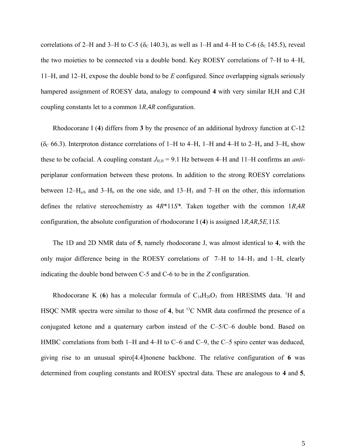correlations of 2–H and 3–H to C-5 ( $\delta_c$  140.3), as well as 1–H and 4–H to C-6 ( $\delta_c$  145.5), reveal the two moieties to be connected via a double bond. Key ROESY correlations of 7–H to 4–H, 11–H, and 12–H, expose the double bond to be *E* configured. Since overlapping signals seriously hampered assignment of ROESY data, analogy to compound **4** with very similar H,H and C,H coupling constants let to a common 1*R*,4*R* configuration.

Rhodocorane I (**4**) differs from **3** by the presence of an additional hydroxy function at C-12 ( $\delta$ <sub>c</sub> 66.3). Interproton distance correlations of 1–H to 4–H, 1–H and 4–H to 2–H<sub>a</sub> and 3–H<sub>a</sub> show these to be cofacial. A coupling constant  $J_{H,H} = 9.1$  Hz between 4–H and 11–H confirms an *anti*periplanar conformation between these protons. In addition to the strong ROESY correlations between  $12-H_{a/b}$  and  $3-H_b$  on the one side, and  $13-H_3$  and  $7-H$  on the other, this information defines the relative stereochemistry as 4*R*\*11*S\**. Taken together with the common 1*R*,4*R* configuration, the absolute configuration of rhodocorane I (**4**) is assigned 1*R*,4*R*,5*E,*11*S*.

The 1D and 2D NMR data of **5**, namely rhodocorane J, was almost identical to **4**, with the only major difference being in the ROESY correlations of 7–H to 14–H<sub>3</sub> and 1–H, clearly indicating the double bond between C-5 and C-6 to be in the *Z* configuration.

Rhodocorane K (6) has a molecular formula of  $C_{14}H_{20}O_3$  from HRESIMS data. <sup>1</sup>H and HSQC NMR spectra were similar to those of 4, but <sup>13</sup>C NMR data confirmed the presence of a conjugated ketone and a quaternary carbon instead of the C–5/C–6 double bond. Based on HMBC correlations from both 1–H and 4–H to C–6 and C–9, the C–5 spiro center was deduced, giving rise to an unusual spiro[4.4]nonene backbone. The relative configuration of **6** was determined from coupling constants and ROESY spectral data. These are analogous to **4** and **5**,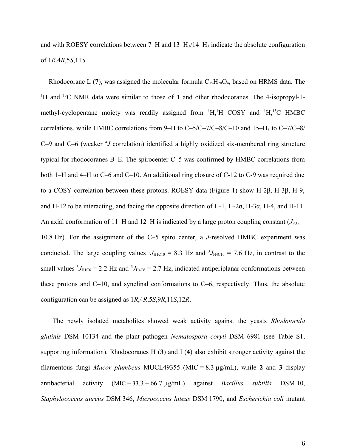and with ROESY correlations between 7–H and 13–H3/14–H3 indicate the absolute configuration of 1*R*,4*R*,5*S*,11*S*.

Rhodocorane L (7), was assigned the molecular formula  $C_{15}H_{20}O_4$ , based on HRMS data. The <sup>1</sup>H and <sup>13</sup>C NMR data were similar to those of 1 and other rhodocoranes. The 4-isopropyl-1methyl-cyclopentane moiety was readily assigned from  $H,H$  COSY and  $H,H$ <sup>3</sup>C HMBC correlations, while HMBC correlations from 9–H to C–5/C–7/C–8/C–10 and 15–H3 to C–7/C–8/ C-9 and C-6 (weaker <sup>4</sup>J correlation) identified a highly oxidized six-membered ring structure typical for rhodocoranes B–E. The spirocenter C–5 was confirmed by HMBC correlations from both 1–H and 4–H to C–6 and C–10. An additional ring closure of C-12 to C-9 was required due to a COSY correlation between these protons. ROESY data (Figure 1) show H-2β, H-3β, H-9, and H-12 to be interacting, and facing the opposite direction of H-1, H-2α, H-3α, H-4, and H-11. An axial conformation of 11–H and 12–H is indicated by a large proton coupling constant  $(J_{9,12} =$ 10.8 Hz). For the assignment of the C–5 spiro center, a *J*-resolved HMBC experiment was conducted. The large coupling values  ${}^{3}J_{\text{H1C10}} = 8.3$  Hz and  ${}^{3}J_{\text{H4C10}} = 7.6$  Hz, in contrast to the small values  ${}^{3}J_{\text{H1C6}} = 2.2$  Hz and  ${}^{3}J_{\text{H4C6}} = 2.7$  Hz, indicated antiperiplanar conformations between these protons and C–10, and synclinal conformations to C–6, respectively. Thus, the absolute configuration can be assigned as 1*R*,4*R*,5*S*,9*R*,11*S*,12*R*.

The newly isolated metabolites showed weak activity against the yeasts *Rhodotorula glutinis* DSM 10134 and the plant pathogen *Nematospora coryli* DSM 6981 (see Table S1, supporting information). Rhodocoranes H (**3**) and I (**4**) also exhibit stronger activity against the filamentous fungi *Mucor plumbeus* MUCL49355 (MIC = 8.3  $\mu$ g/mL), while 2 and 3 display antibacterial activity (MIC = 33.3 – 66.7 µg/mL) against *Bacillus subtilis* DSM 10, *Staphylococcus aureus* DSM 346, *Micrococcus luteus* DSM 1790, and *Escherichia coli* mutant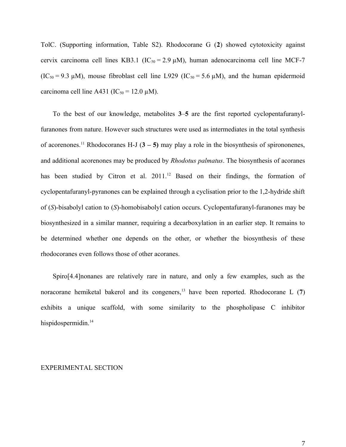TolC. (Supporting information, Table S2). Rhodocorane G (**2**) showed cytotoxicity against cervix carcinoma cell lines KB3.1 ( $IC_{50} = 2.9 \mu M$ ), human adenocarcinoma cell line MCF-7  $(IC<sub>50</sub> = 9.3 \mu M)$ , mouse fibroblast cell line L929  $(IC<sub>50</sub> = 5.6 \mu M)$ , and the human epidermoid carcinoma cell line A431 (IC<sub>50</sub> = 12.0  $\mu$ M).

To the best of our knowledge, metabolites **3**–**5** are the first reported cyclopentafuranylfuranones from nature. However such structures were used as intermediates in the total synthesis of acorenones.<sup>11</sup> Rhodocoranes H-J  $(3 - 5)$  may play a role in the biosynthesis of spirononenes, and additional acorenones may be produced by *Rhodotus palmatus*. The biosynthesis of acoranes has been studied by Citron et al. 2011.<sup>12</sup> Based on their findings, the formation of cyclopentafuranyl-pyranones can be explained through a cyclisation prior to the 1,2-hydride shift of (*S*)-bisabolyl cation to (*S*)-homobisabolyl cation occurs. Cyclopentafuranyl-furanones may be biosynthesized in a similar manner, requiring a decarboxylation in an earlier step. It remains to be determined whether one depends on the other, or whether the biosynthesis of these rhodocoranes even follows those of other acoranes.

Spiro[4.4]nonanes are relatively rare in nature, and only a few examples, such as the noracorane hemiketal bakerol and its congeners,<sup>13</sup> have been reported. Rhodocorane L  $(7)$ exhibits a unique scaffold, with some similarity to the phospholipase C inhibitor hispidospermidin.<sup>14</sup>

#### EXPERIMENTAL SECTION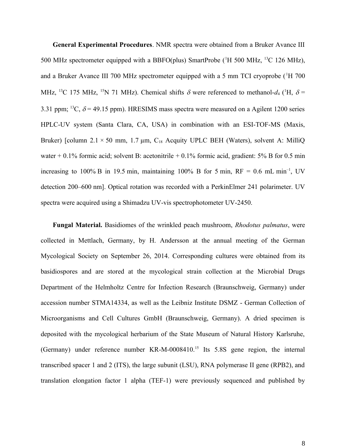**General Experimental Procedures**. NMR spectra were obtained from a Bruker Avance III 500 MHz spectrometer equipped with a BBFO(plus) SmartProbe ( ${}^{1}H$  500 MHz,  ${}^{13}C$  126 MHz), and a Bruker Avance III 700 MHz spectrometer equipped with a 5 mm TCI cryoprobe (<sup>1</sup>H 700 MHz, <sup>13</sup>C 175 MHz, <sup>15</sup>N 71 MHz). Chemical shifts  $\delta$  were referenced to methanol- $d_4$  (<sup>1</sup>H,  $\delta$  = 3.31 ppm; <sup>13</sup>C,  $\delta$  = 49.15 ppm). HRESIMS mass spectra were measured on a Agilent 1200 series HPLC-UV system (Santa Clara, CA, USA) in combination with an ESI-TOF-MS (Maxis, Bruker) [column 2.1  $\times$  50 mm, 1.7 µm, C<sub>18</sub> Acquity UPLC BEH (Waters), solvent A: MilliQ water  $+$  0.1% formic acid; solvent B: acetonitrile  $+$  0.1% formic acid, gradient: 5% B for 0.5 min increasing to 100% B in 19.5 min, maintaining 100% B for 5 min,  $RF = 0.6$  mL min<sup>-1</sup>, UV detection 200–600 nm]. Optical rotation was recorded with a PerkinElmer 241 polarimeter. UV spectra were acquired using a Shimadzu UV-vis spectrophotometer UV-2450.

**Fungal Material.** Basidiomes of the wrinkled peach mushroom, *Rhodotus palmatus*, were collected in Mettlach, Germany, by H. Andersson at the annual meeting of the German Mycological Society on September 26, 2014. Corresponding cultures were obtained from its basidiospores and are stored at the mycological strain collection at the Microbial Drugs Department of the Helmholtz Centre for Infection Research (Braunschweig, Germany) under accession number STMA14334, as well as the Leibniz Institute DSMZ - German Collection of Microorganisms and Cell Cultures GmbH (Braunschweig, Germany). A dried specimen is deposited with the mycological herbarium of the State Museum of Natural History Karlsruhe, (Germany) under reference number KR-M-0008410.<sup>15</sup> Its 5.8S gene region, the internal transcribed spacer 1 and 2 (ITS), the large subunit (LSU), RNA polymerase II gene (RPB2), and translation elongation factor 1 alpha (TEF-1) were previously sequenced and published by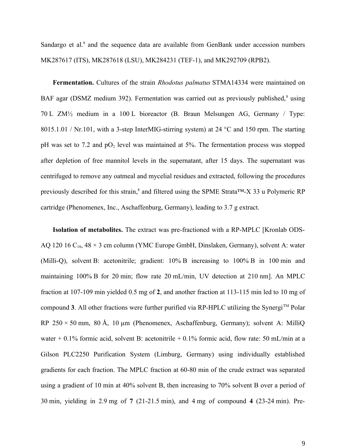Sandargo et al.<sup>8</sup> and the sequence data are available from GenBank under accession numbers MK287617 (ITS), MK287618 (LSU), MK284231 (TEF-1), and MK292709 (RPB2).

**Fermentation.** Cultures of the strain *Rhodotus palmatus* STMA14334 were maintained on BAF agar (DSMZ medium 392). Fermentation was carried out as previously published,<sup>8</sup> using 70 L ZM½ medium in a 100 L bioreactor (B. Braun Melsungen AG, Germany / Type: 8015.1.01 / Nr.101, with a 3-step InterMIG-stirring system) at 24  $^{\circ}$ C and 150 rpm. The starting pH was set to 7.2 and  $pO_2$  level was maintained at 5%. The fermentation process was stopped after depletion of free mannitol levels in the supernatant, after 15 days. The supernatant was centrifuged to remove any oatmeal and mycelial residues and extracted, following the procedures previously described for this strain,<sup>8</sup> and filtered using the SPME Strata™-X 33 u Polymeric RP cartridge (Phenomenex, Inc., Aschaffenburg, Germany), leading to 3.7 g extract.

**Isolation of metabolites.** The extract was pre-fractioned with a RP-MPLC [Kronlab ODS-AQ 120 16  $C_{18}$ , 48  $\times$  3 cm column (YMC Europe GmbH, Dinslaken, Germany), solvent A: water (Milli-Q), solvent B: acetonitrile; gradient: 10% B increasing to 100% B in 100 min and maintaining 100% B for 20 min; flow rate 20 mL/min, UV detection at 210 nm]. An MPLC fraction at 107-109 min yielded 0.5 mg of **2**, and another fraction at 113-115 min led to 10 mg of compound **3**. All other fractions were further purified via RP-HPLC utilizing the Synergi<sup>TM</sup> Polar RP  $250 \times 50$  mm,  $80 \text{ Å}$ ,  $10 \mu$ m (Phenomenex, Aschaffenburg, Germany); solvent A: MilliQ water  $+$  0.1% formic acid, solvent B: acetonitrile  $+$  0.1% formic acid, flow rate: 50 mL/min at a Gilson PLC2250 Purification System (Limburg, Germany) using individually established gradients for each fraction. The MPLC fraction at 60-80 min of the crude extract was separated using a gradient of 10 min at 40% solvent B, then increasing to 70% solvent B over a period of 30 min, yielding in 2.9 mg of **7** (21-21.5 min), and 4 mg of compound **4** (23-24 min). Pre-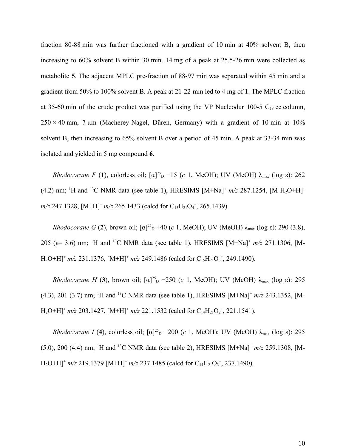fraction 80-88 min was further fractioned with a gradient of 10 min at 40% solvent B, then increasing to 60% solvent B within 30 min. 14 mg of a peak at 25.5-26 min were collected as metabolite **5**. The adjacent MPLC pre-fraction of 88-97 min was separated within 45 min and a gradient from 50% to 100% solvent B. A peak at 21-22 min led to 4 mg of **1**. The MPLC fraction at 35-60 min of the crude product was purified using the VP Nucleodur 100-5  $C_{18}$  ec column,  $250 \times 40$  mm, 7 µm (Macherey-Nagel, Düren, Germany) with a gradient of 10 min at 10% solvent B, then increasing to 65% solvent B over a period of 45 min. A peak at 33-34 min was isolated and yielded in 5 mg compound **6**.

*Rhodocorane F* (1), colorless oil;  $[\alpha]^{25}$ <sub>D</sub> -15 (*c* 1, MeOH); UV (MeOH)  $\lambda_{\text{max}}$  (log  $\varepsilon$ ): 262 (4.2) nm; <sup>1</sup>H and <sup>13</sup>C NMR data (see table 1), HRESIMS  $[M+Na]^+$   $m/z$  287.1254,  $[M-H_2O+H]^+$  $m/z$  247.1328, [M+H]<sup>+</sup>  $m/z$  265.1433 (calcd for C<sub>15</sub>H<sub>21</sub>O<sub>4</sub><sup>+</sup>, 265.1439).

*Rhodocorane G* (2), brown oil;  $[\alpha]^{25}$ <sub>D</sub> +40 (*c* 1, MeOH); UV (MeOH)  $\lambda_{\text{max}}$  (log  $\varepsilon$ ): 290 (3.8), 205 (ε= 3.6) nm; <sup>1</sup>H and <sup>13</sup>C NMR data (see table 1), HRESIMS [M+Na]<sup>+</sup> *m/z* 271.1306, [M- $H_2O+H^+$  *m/z* 231.1376,  $[M+H]^+$  *m/z* 249.1486 (calcd for  $C_{15}H_{21}O_3^+$ , 249.1490).

*Rhodocorane H* (3), brown oil;  $[\alpha]^{25}$ <sub>D</sub> -250 (*c* 1, MeOH); UV (MeOH)  $\lambda_{\text{max}}$  (log  $\varepsilon$ ): 295 (4.3), 201 (3.7) nm; <sup>1</sup>H and <sup>13</sup>C NMR data (see table 1), HRESIMS [M+Na]<sup>+</sup> *m/z* 243.1352, [M- $H_2O+H$ <sup>+</sup>  $m/z$  203.1427, [M+H]<sup>+</sup>  $m/z$  221.1532 (calcd for C<sub>14</sub>H<sub>21</sub>O<sub>2</sub><sup>+</sup>, 221.1541).

*Rhodocorane I* (4), colorless oil;  $[\alpha]^{25}$ <sub>D</sub> -200 (*c* 1, MeOH); UV (MeOH)  $\lambda_{\text{max}}$  (log  $\varepsilon$ ): 295 (5.0), 200 (4.4) nm; <sup>1</sup>H and <sup>13</sup>C NMR data (see table 2), HRESIMS [M+Na]<sup>+</sup> *m/z* 259.1308, [M- $H_2O+H$ <sup>+</sup> *m/z* 219.1379 [M+H]<sup>+</sup> *m/z* 237.1485 (calcd for C<sub>14</sub>H<sub>21</sub>O<sub>3</sub><sup>+</sup>, 237.1490).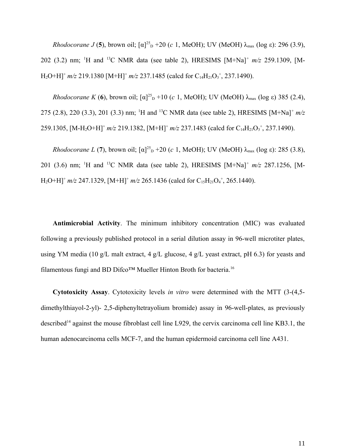*Rhodocorane J* (5), brown oil;  $[\alpha]^{25}$ <sub>D</sub> +20 (*c* 1, MeOH); UV (MeOH)  $\lambda_{\text{max}}$  (log  $\varepsilon$ ): 296 (3.9), 202 (3.2) nm; <sup>1</sup>H and <sup>13</sup>C NMR data (see table 2), HRESIMS [M+Na]<sup>+</sup> *m/z* 259.1309, [M- $H_2O+H$ <sup>+</sup>  $m/z$  219.1380 [M+H]<sup>+</sup>  $m/z$  237.1485 (calcd for C<sub>14</sub>H<sub>21</sub>O<sub>3</sub><sup>+</sup>, 237.1490).

*Rhodocorane K* (6), brown oil;  $[\alpha]^{25}$ <sub>D</sub> +10 (*c* 1, MeOH); UV (MeOH)  $\lambda_{\text{max}}$  (log  $\varepsilon$ ) 385 (2.4), 275 (2.8), 220 (3.3), 201 (3.3) nm; <sup>1</sup>H and <sup>13</sup>C NMR data (see table 2), HRESIMS [M+Na]<sup>+</sup> *m/z* 259.1305, [M-H<sub>2</sub>O+H]<sup>+</sup> *m/z* 219.1382, [M+H]<sup>+</sup> *m/z* 237.1483 (calcd for C<sub>14</sub>H<sub>21</sub>O<sub>3</sub><sup>+</sup>, 237.1490).

*Rhodocorane L* (7), brown oil;  $[\alpha]^{25}$ <sub>D</sub> +20 (*c* 1, MeOH); UV (MeOH)  $\lambda_{\text{max}}$  (log  $\varepsilon$ ): 285 (3.8), 201 (3.6) nm; <sup>1</sup>H and <sup>13</sup>C NMR data (see table 2), HRESIMS [M+Na]<sup>+</sup> *m/z* 287.1256, [M- $H_2O+H$ <sup>+</sup> *m/z* 247.1329, [M+H]<sup>+</sup> *m/z* 265.1436 (calcd for C<sub>15</sub>H<sub>21</sub>O<sub>4</sub><sup>+</sup>, 265.1440).

**Antimicrobial Activity**. The minimum inhibitory concentration (MIC) was evaluated following a previously published protocol in a serial dilution assay in 96-well microtiter plates, using YM media (10 g/L malt extract, 4 g/L glucose, 4 g/L yeast extract, pH 6.3) for yeasts and filamentous fungi and BD Difco™ Mueller Hinton Broth for bacteria.<sup>16</sup>

**Cytotoxicity Assay**. Cytotoxicity levels *in vitro* were determined with the MTT (3-(4,5 dimethylthiayol-2-yl)- 2,5-diphenyltetrayolium bromide) assay in 96-well-plates, as previously described<sup>14</sup> against the mouse fibroblast cell line L929, the cervix carcinoma cell line KB3.1, the human adenocarcinoma cells MCF-7, and the human epidermoid carcinoma cell line A431.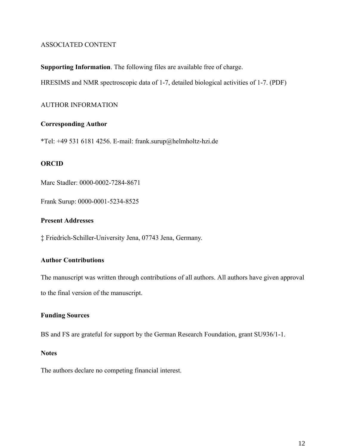# ASSOCIATED CONTENT

**Supporting Information**. The following files are available free of charge.

HRESIMS and NMR spectroscopic data of 1-7, detailed biological activities of 1-7. (PDF)

# AUTHOR INFORMATION

# **Corresponding Author**

\*Tel: +49 531 6181 4256. E-mail: frank.surup@helmholtz-hzi.de

# **ORCID**

Marc Stadler: 0000-0002-7284-8671

Frank Surup: 0000-0001-5234-8525

# **Present Addresses**

‡ Friedrich-Schiller-University Jena, 07743 Jena, Germany.

## **Author Contributions**

The manuscript was written through contributions of all authors. All authors have given approval to the final version of the manuscript.

# **Funding Sources**

BS and FS are grateful for support by the German Research Foundation, grant SU936/1-1.

## **Notes**

The authors declare no competing financial interest.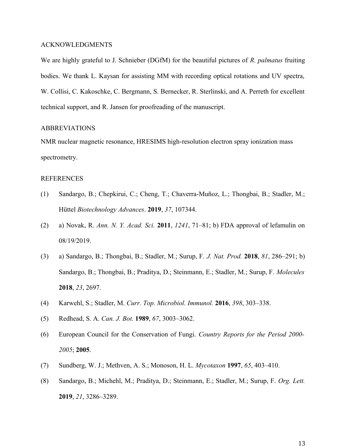#### ACKNOWLEDGMENTS

We are highly grateful to J. Schnieber (DGfM) for the beautiful pictures of *R. palmatus* fruiting bodies. We thank L. Kaysan for assisting MM with recording optical rotations and UV spectra, W. Collisi, C. Kakoschke, C. Bergmann, S. Bernecker, R. Sterlinski, and A. Perreth for excellent technical support, and R. Jansen for proofreading of the manuscript.

# ABBREVIATIONS

NMR nuclear magnetic resonance, HRESIMS high-resolution electron spray ionization mass spectrometry.

## REFERENCES

- (1) Sandargo, B.; Chepkirui, C.; Cheng, T.; Chaverra-Muñoz, L.; Thongbai, B.; Stadler, M.; Hüttel *Biotechnology Advances*. **2019**, *37*, 107344.
- (2) a) Novak, R. *Ann. N. Y. Acad. Sci.* **2011**, *1241*, 71–81; b) FDA approval of lefamulin on 08/19/2019.
- (3) a) Sandargo, B.; Thongbai, B.; Stadler, M.; Surup, F. *J. Nat. Prod.* **2018**, *81*, 286–291; b) Sandargo, B.; Thongbai, B.; Praditya, D.; Steinmann, E.; Stadler, M.; Surup, F. *Molecules* **2018**, *23*, 2697.
- (4) Karwehl, S.; Stadler, M. *Curr. Top. Microbiol. Immunol.* **2016**, *398*, 303–338.
- (5) Redhead, S. A. *Can. J. Bot.* **1989**, *67*, 3003–3062.
- (6) European Council for the Conservation of Fungi. *Country Reports for the Period 2000- 2005*; **2005**.
- (7) Sundberg, W. J.; Methven, A. S.; Monoson, H. L. *Mycotaxon* **1997**, *65*, 403–410.
- (8) Sandargo, B.; Michehl, M.; Praditya, D.; Steinmann, E.; Stadler, M.; Surup, F. *Org. Lett.* **2019**, *21*, 3286–3289.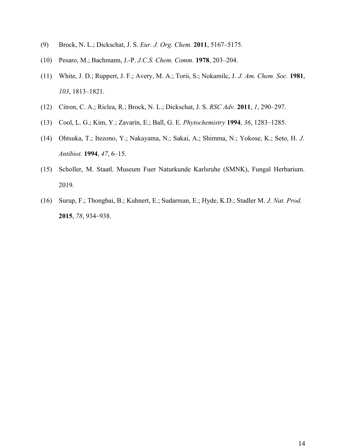- (9) Brock, N. L.; Dickschat, J. S. *Eur. J. Org. Chem.* **2011**, 5167–5175.
- (10) Pesaro, M.; Bachmann, J.-P. *J.C.S. Chem. Comm.* **1978**, 203–204.
- (11) White, J. D.; Ruppert, J. F.; Avery, M. A.; Torii, S.; Nokamilc, J. *J. Am. Chem. Soc.* **1981**, *103*, 1813–1821.
- (12) Citron, C. A.; Riclea, R.; Brock, N. L.; Dickschat, J. S. *RSC Adv.* **2011**, *1*, 290–297.
- (13) Cool, L. G.; Kim, Y.; Zavarin, E.; Ball, G. E. *Phytochemistry* **1994**, *36*, 1283–1285.
- (14) Ohtsuka, T.; Itezono, Y.; Nakayama, N.; Sakai, A.; Shimma, N.; Yokose, K.; Seto, H. *J. Antibiot.* **1994**, *47*, 6–15.
- (15) Scholler, M. Staatl. Museum Fuer Naturkunde Karlsruhe (SMNK), Fungal Herbarium. 2019.
- (16) Surup, F.; Thongbai, B.; Kuhnert, E.; Sudarman, E.; Hyde, K.D.; Stadler M. *J. Nat. Prod.* **2015**, *78*, 934–938.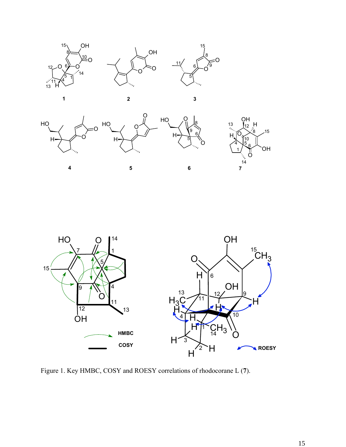

**4**

HO

H











Figure 1. Key HMBC, COSY and ROESY correlations of rhodocorane L (**7**).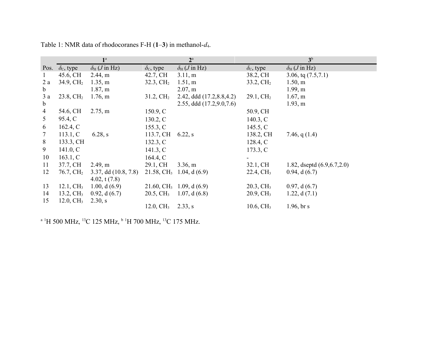|                 | $1^{\mathrm{a}}$       |                                    | $2^{\mathrm{a}}$        |                                        | 3 <sup>b</sup>          |                                    |  |
|-----------------|------------------------|------------------------------------|-------------------------|----------------------------------------|-------------------------|------------------------------------|--|
|                 | Pos. $\delta_c$ , type | $\delta_{\rm H}$ ( <i>J</i> in Hz) | $\delta_{\rm C}$ , type | $\delta_{\rm H}$ ( <i>J</i> in Hz)     | $\delta_{\rm C}$ , type | $\delta_{\rm H}$ ( <i>J</i> in Hz) |  |
| 1               | 45.6, CH               | 2.44, m                            | 42.7, CH                | 3.11, m                                | 38.2, CH                | 3.06, tq $(7.5,7.1)$               |  |
| 2 a             | 34.9, $CH2$            | 1.35, m                            | 32.3, $CH2$             | 1.51, m                                | $33.2, \mathrm{CH}_2$   | 1.50, m                            |  |
| $\mathbf b$     |                        | 1.87, m                            |                         | 2.07, m                                |                         | 1.99, m                            |  |
| 3a              | $23.8, \mathrm{CH}_2$  | $1.76$ , m                         | $31.2, \mathrm{CH}_2$   | 2.42, ddd $(17.2, 8.8, 4.2)$           | $29.1, \mathrm{CH}_2$   | 1.67, m                            |  |
| $\mathbf b$     |                        |                                    |                         | $2.55$ , ddd $(17.2, 9.0, 7.6)$        |                         | 1.93, m                            |  |
| $\overline{4}$  | 54.6, CH               | 2.75, m                            | 150.9, $C$              |                                        | 50.9, CH                |                                    |  |
| 5               | 95.4, C                |                                    | 130.2, C                |                                        | 140.3, C                |                                    |  |
| 6               | 162.4, C               |                                    | 155.3, C                |                                        | 145.5, $C$              |                                    |  |
| $7\overline{ }$ | 113.1, C               | 6.28, s                            | 113.7, CH               | 6.22, s                                | 138.2, CH               | 7.46, q $(1.4)$                    |  |
| 8               | 133.3, CH              |                                    | 132.3, C                |                                        | 128.4, C                |                                    |  |
| 9               | 141.0, C               |                                    | 141.3, C                |                                        | 173.3, C                |                                    |  |
| 10              | 163.1, C               |                                    | 164.4, C                |                                        |                         |                                    |  |
| 11              | 37.7, CH               | 2.49, m                            | 29.1, CH                | 3.36, m                                | 32.1, CH                | 1.82, dseptd $(6.9, 6.7, 2.0)$     |  |
| 12              | $76.7, \mathrm{CH}_2$  | $3.37, \mathrm{dd} (10.8, 7.8)$    |                         | 21.58, CH <sub>3</sub> 1.04, d $(6.9)$ | $22.4, \mathrm{CH}_3$   | 0.94, d(6.7)                       |  |
|                 |                        | 4.02, t $(7.8)$                    |                         |                                        |                         |                                    |  |
| 13              | $12.1, \mathrm{CH}_3$  | 1.00, $d(6.9)$                     |                         | 21.60, CH <sub>3</sub> 1.09, d $(6.9)$ | $20.3, \mathrm{CH}_3$   | 0.97, d(6.7)                       |  |
| 14              | $13.2, \mathrm{CH}_3$  | 0.92, d(6.7)                       | $20.5, \mathrm{CH}_3$   | 1.07, d $(6.8)$                        | $20.9, \mathrm{CH}_3$   | 1.22, $d(7.1)$                     |  |
| 15              | 12.0, $CH3$            | 2.30, s                            |                         |                                        |                         |                                    |  |
|                 |                        |                                    | 12.0, $CH3$             | 2.33, s                                | 10.6, $CH3$             | $1.96$ , br s                      |  |

Table 1: NMR data of rhodocoranes F-H (**1**–**3**) in methanol-*d*4.

 $^{\rm a}$  <sup>1</sup>H 500 MHz,  $^{\rm 13} \rm C$  125 MHz,  $^{\rm b}$   $^{\rm 1}$  H 700 MHz,  $^{\rm 13} \rm C$  175 MHz.